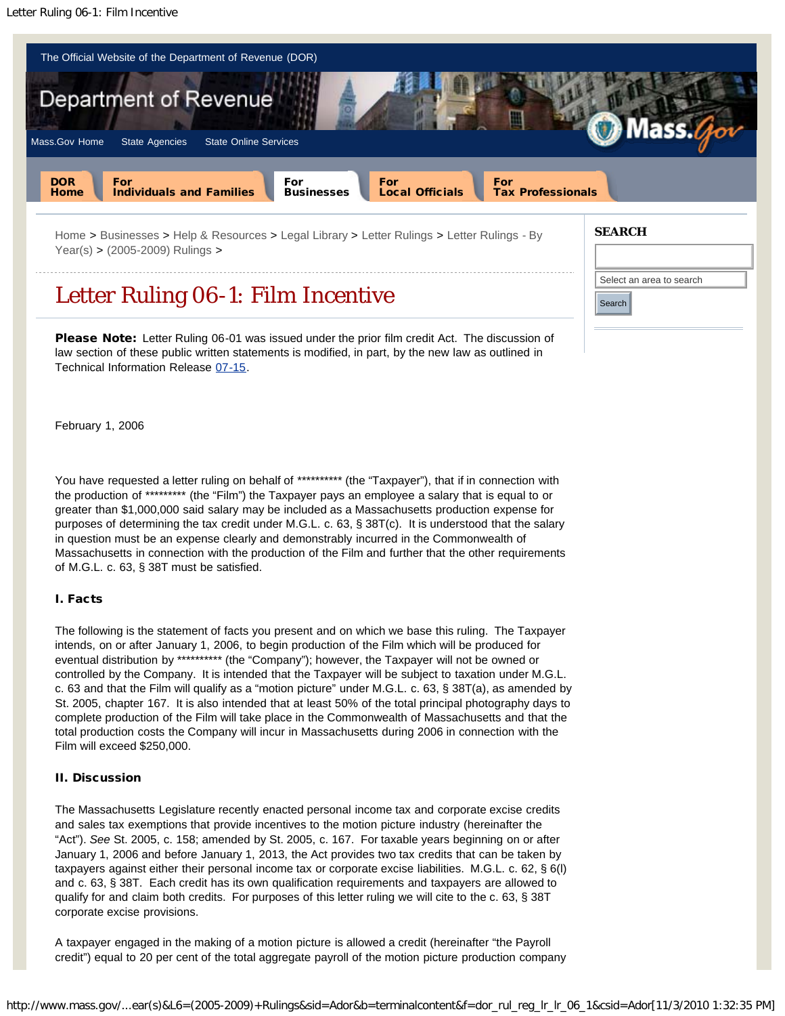

Select an area to search Select an area to search

Search Search

Letter Ruling 06-1: Film Incentive

Please Note: Letter Ruling 06-01 was issued under the prior film credit Act. The discussion of law section of these public written statements is modified, in part, by the new law as outlined in Technical Information Release [07-15](http://www.mass.gov/?pageID=dorterminal&L=7&L0=Home&L1=Businesses&L2=Help+%26+Resources&L3=Legal+Library&L4=Technical+Information+Releases&L5=TIRs+-+By+Year(s)&L6=2007+Releases&sid=Ador&b=terminalcontent&f=dor_rul_reg_tir_tir_07_15&csid=Ador).

February 1, 2006

You have requested a letter ruling on behalf of \*\*\*\*\*\*\*\*\*\* (the "Taxpayer"), that if in connection with the production of \*\*\*\*\*\*\*\*\* (the "Film") the Taxpayer pays an employee a salary that is equal to or greater than \$1,000,000 said salary may be included as a Massachusetts production expense for purposes of determining the tax credit under M.G.L. c. 63, § 38T(c). It is understood that the salary in question must be an expense clearly and demonstrably incurred in the Commonwealth of Massachusetts in connection with the production of the Film and further that the other requirements of M.G.L. c. 63, § 38T must be satisfied.

## I. Facts

The following is the statement of facts you present and on which we base this ruling. The Taxpayer intends, on or after January 1, 2006, to begin production of the Film which will be produced for eventual distribution by \*\*\*\*\*\*\*\*\*\* (the "Company"); however, the Taxpayer will not be owned or controlled by the Company. It is intended that the Taxpayer will be subject to taxation under M.G.L. c. 63 and that the Film will qualify as a "motion picture" under M.G.L. c. 63, § 38T(a), as amended by St. 2005, chapter 167. It is also intended that at least 50% of the total principal photography days to complete production of the Film will take place in the Commonwealth of Massachusetts and that the total production costs the Company will incur in Massachusetts during 2006 in connection with the Film will exceed \$250,000.

## II. Discussion

The Massachusetts Legislature recently enacted personal income tax and corporate excise credits and sales tax exemptions that provide incentives to the motion picture industry (hereinafter the "Act"). *See* St. 2005, c. 158; amended by St. 2005, c. 167. For taxable years beginning on or after January 1, 2006 and before January 1, 2013, the Act provides two tax credits that can be taken by taxpayers against either their personal income tax or corporate excise liabilities. M.G.L. c. 62, § 6(l) and c. 63, § 38T. Each credit has its own qualification requirements and taxpayers are allowed to qualify for and claim both credits. For purposes of this letter ruling we will cite to the c. 63, § 38T corporate excise provisions.

A taxpayer engaged in the making of a motion picture is allowed a credit (hereinafter "the Payroll credit") equal to 20 per cent of the total aggregate payroll of the motion picture production company